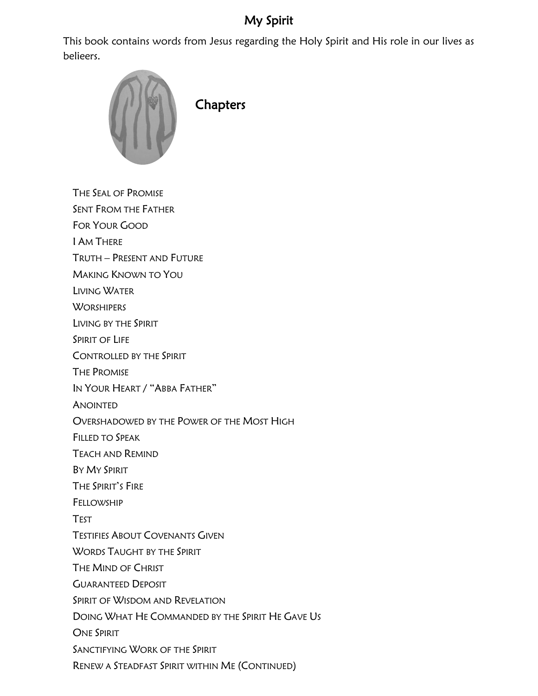## My Spirit

This book contains words from Jesus regarding the Holy Spirit and His role in our lives as belieers.



**Chapters** 

- THE SEAL OF PROMISE
- SENT FROM THE FATHER
- FOR YOUR GOOD
- I AM THERE
- TRUTH PRESENT AND FUTURE
- MAKING KNOWN TO YOU
- LIVING WATER
- **WORSHIPERS**
- LIVING BY THE SPIRIT
- SPIRIT OF LIFE
- CONTROLLED BY THE SPIRIT
- THE PROMISE
- IN YOUR HEART / "ABBA FATHER"
- ANOINTED
- OVERSHADOWED BY THE POWER OF THE MOST HIGH
- FILLED TO SPEAK
- TEACH AND REMIND
- BY MY SPIRIT
- THE SPIRIT'S FIRE
- FELLOWSHIP
- TEST
- TESTIFIES ABOUT COVENANTS GIVEN
- WORDS TAUGHT BY THE SPIRIT
- THE MIND OF CHRIST
- GUARANTEED DEPOSIT
- SPIRIT OF WISDOM AND REVELATION
- DOING WHAT HE COMMANDED BY THE SPIRIT HE GAVE US
- ONE SPIRIT
- SANCTIFYING WORK OF THE SPIRIT
- RENEW A STEADFAST SPIRIT WITHIN ME (CONTINUED)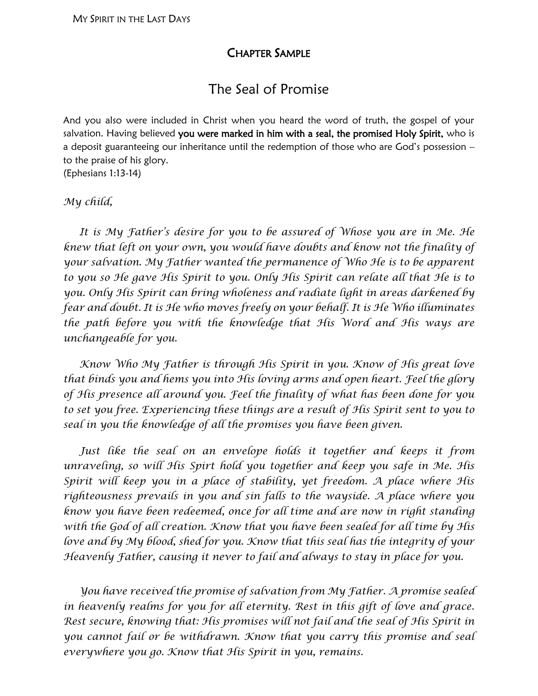## CHAPTER SAMPLE

## The Seal of Promise

And you also were included in Christ when you heard the word of truth, the gospel of your salvation. Having believed you were marked in him with a seal, the promised Holy Spirit, who is a deposit guaranteeing our inheritance until the redemption of those who are God's possession – to the praise of his glory. (Ephesians 1:13-14)

*My child,*

 *It is My Father's desire for you to be assured of Whose you are in Me. He knew that left on your own, you would have doubts and know not the finality of your salvation. My Father wanted the permanence of Who He is to be apparent to you so He gave His Spirit to you. Only His Spirit can relate all that He is to you. Only His Spirit can bring wholeness and radiate light in areas darkened by fear and doubt. It is He who moves freely on your behalf. It is He Who illuminates the path before you with the knowledge that His Word and His ways are unchangeable for you.*

 *Know Who My Father is through His Spirit in you. Know of His great love that binds you and hems you into His loving arms and open heart. Feel the glory of His presence all around you. Feel the finality of what has been done for you to set you free. Experiencing these things are a result of His Spirit sent to you to seal in you the knowledge of all the promises you have been given.*

 *Just like the seal on an envelope holds it together and keeps it from unraveling, so will His Spirt hold you together and keep you safe in Me. His Spirit will keep you in a place of stability, yet freedom. A place where His righteousness prevails in you and sin falls to the wayside. A place where you know you have been redeemed, once for all time and are now in right standing with the God of all creation. Know that you have been sealed for all time by His love and by My blood, shed for you. Know that this seal has the integrity of your Heavenly Father, causing it never to fail and always to stay in place for you.*

 *You have received the promise of salvation from My Father. A promise sealed in heavenly realms for you for all eternity. Rest in this gift of love and grace. Rest secure, knowing that: His promises will not fail and the seal of His Spirit in you cannot fail or be withdrawn. Know that you carry this promise and seal everywhere you go. Know that His Spirit in you, remains.*